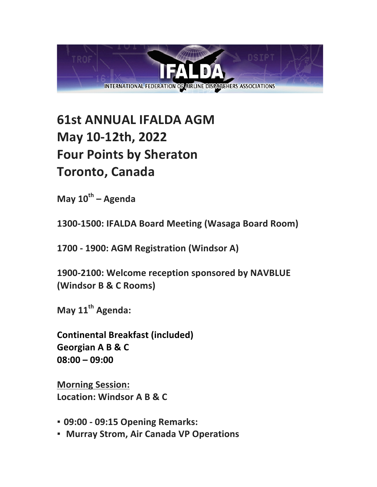

## **61st ANNUAL IFALDA AGM May 10-12th, 2022 Four Points by Sheraton Toronto, Canada**

**May 10th – Agenda**

**1300-1500: IFALDA Board Meeting (Wasaga Board Room)**

**1700 - 1900: AGM Registration (Windsor A)**

1900-2100: Welcome reception sponsored by NAVBLUE **(Windsor B & C Rooms)**

**May 11<sup>th</sup> Agenda:** 

**Continental Breakfast (included)** Georgian A B & C **08:00 – 09:00**

**Morning Session: Location: Windsor A B & C**

- **09:00 - 09:15 Opening Remarks:**
- **Murray Strom, Air Canada VP Operations**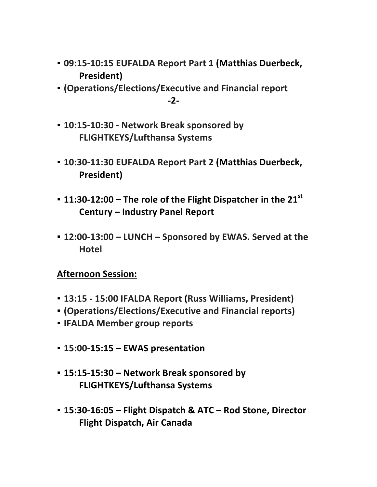- **09:15-10:15 EUFALDA Report Part 1 (Matthias Duerbeck, President)**
- **(Operations/Elections/Executive and Financial report -2-**
- **10:15-10:30 - Network Break sponsored by FLIGHTKEYS/Lufthansa Systems**
- **10:30-11:30 EUFALDA Report Part 2 (Matthias Duerbeck, President)**
- **11:30-12:00** The role of the Flight Dispatcher in the 21<sup>st</sup> **Century – Industry Panel Report**
- **12:00-13:00 – LUNCH – Sponsored by EWAS. Served at the Hotel**

## **Afternoon Session:**

- **13:15 - 15:00 IFALDA Report (Russ Williams, President)**
- **(Operations/Elections/Executive and Financial reports)**
- **· IFALDA Member group reports**
- **15:00-15:15 – EWAS presentation**
- **15:15-15:30 – Network Break sponsored by FLIGHTKEYS/Lufthansa Systems**
- **15:30-16:05 – Flight Dispatch & ATC – Rod Stone, Director Flight Dispatch, Air Canada**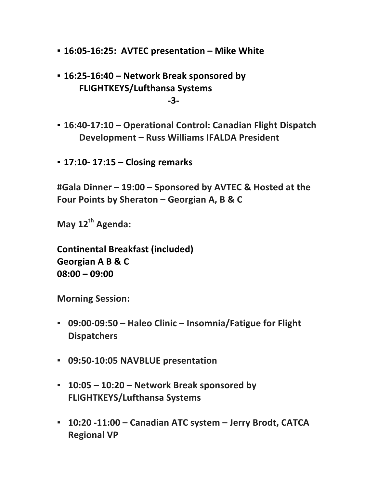- **16:05-16:25: AVTEC presentation – Mike White**
- **16:25-16:40 – Network Break sponsored by FLIGHTKEYS/Lufthansa Systems -3-**
- **16:40-17:10 – Operational Control: Canadian Flight Dispatch Development – Russ Williams IFALDA President**
- **17:10- 17:15 – Closing remarks**

**#Gala Dinner – 19:00 – Sponsored by AVTEC & Hosted at the Four Points by Sheraton – Georgian A, B & C** 

**May 12th Agenda:**

**Continental Breakfast (included) Georgian A B & C 08:00 – 09:00**

**Morning Session:** 

- **09:00-09:50 Haleo Clinic Insomnia/Fatigue for Flight Dispatchers**
- $-$  09:50-10:05 NAVBLUE presentation
- **10:05 – 10:20 – Network Break sponsored by FLIGHTKEYS/Lufthansa Systems**
- **10:20 -11:00 – Canadian ATC system – Jerry Brodt, CATCA Regional VP**